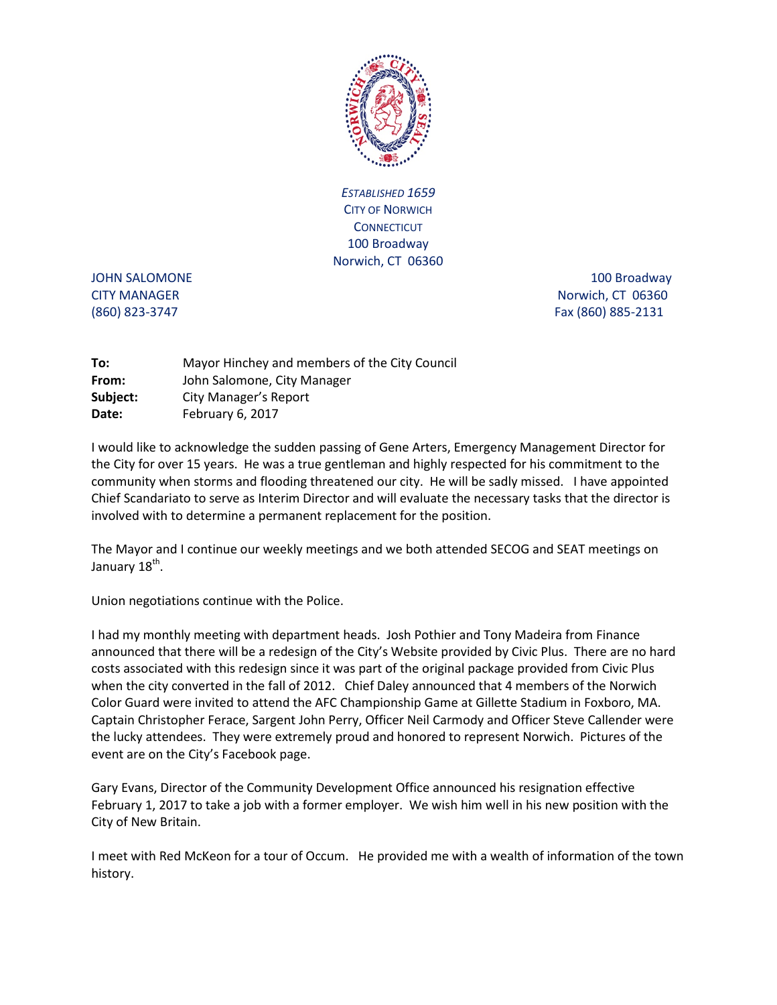

*ESTABLISHED 1659* CITY OF NORWICH **CONNECTICUT** 100 Broadway Norwich, CT 06360

JOHN SALOMONE 2000 100 Broadway 2000 Broadway CITY MANAGER Norwich, CT 06360 (860) 823-3747 Fax (860) 885-2131

| Mayor Hinchey and members of the City Council |
|-----------------------------------------------|
| John Salomone, City Manager                   |
| City Manager's Report                         |
| February 6, 2017                              |
|                                               |

I would like to acknowledge the sudden passing of Gene Arters, Emergency Management Director for the City for over 15 years. He was a true gentleman and highly respected for his commitment to the community when storms and flooding threatened our city. He will be sadly missed. I have appointed Chief Scandariato to serve as Interim Director and will evaluate the necessary tasks that the director is involved with to determine a permanent replacement for the position.

The Mayor and I continue our weekly meetings and we both attended SECOG and SEAT meetings on January 18<sup>th</sup>.

Union negotiations continue with the Police.

I had my monthly meeting with department heads. Josh Pothier and Tony Madeira from Finance announced that there will be a redesign of the City's Website provided by Civic Plus. There are no hard costs associated with this redesign since it was part of the original package provided from Civic Plus when the city converted in the fall of 2012. Chief Daley announced that 4 members of the Norwich Color Guard were invited to attend the AFC Championship Game at Gillette Stadium in Foxboro, MA. Captain Christopher Ferace, Sargent John Perry, Officer Neil Carmody and Officer Steve Callender were the lucky attendees. They were extremely proud and honored to represent Norwich. Pictures of the event are on the City's Facebook page.

Gary Evans, Director of the Community Development Office announced his resignation effective February 1, 2017 to take a job with a former employer. We wish him well in his new position with the City of New Britain.

I meet with Red McKeon for a tour of Occum. He provided me with a wealth of information of the town history.